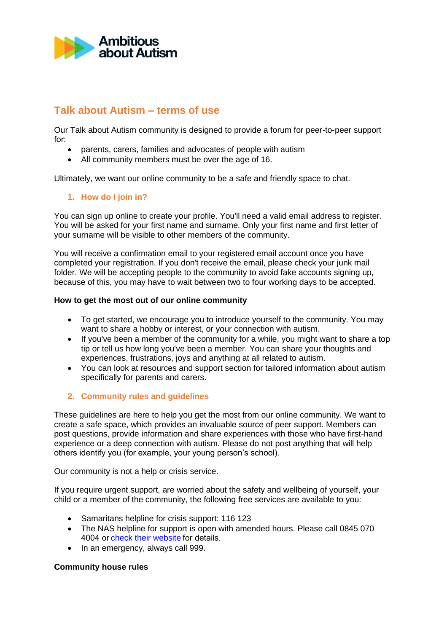

# **Talk about Autism – terms of use**

Our Talk about Autism community is designed to provide a forum for peer-to-peer support for: 

- parents, carers, families and advocates of people with autism
- All community members must be over the age of 16.

Ultimately, we want our online community to be a safe and friendly space to chat.

# **1. How do I join in?**

You can sign up online to create your profile. You'll need a valid email address to register. You will be asked for your first name and surname. Only your first name and first letter of your surname will be visible to other members of the community.

You will receive a confirmation email to your registered email account once you have completed your registration. If you don't receive the email, please check your junk mail folder. We will be accepting people to the community to avoid fake accounts signing up, because of this, you may have to wait between two to four working days to be accepted.

#### **How to get the most out of our online community**

- To get started, we encourage you to introduce yourself to the community. You may want to share a hobby or interest, or your connection with autism.
- If you've been a member of the community for a while, you might want to share a top tip or tell us how long you've been a member. You can share your thoughts and experiences, frustrations, joys and anything at all related to autism.
- You can look at resources and support section for tailored information about autism specifically for parents and carers.

# **2. Community rules and guidelines**

These guidelines are here to help you get the most from our online community. We want to create a safe space, which provides an invaluable source of peer support. Members can post questions, provide information and share experiences with those who have first-hand experience or a deep connection with autism. Please do not post anything that will help others identify you (for example, your young person's school).

Our community is not a help or crisis service.

If you require urgent support, are worried about the safety and wellbeing of yourself, your child or a member of the community, the following free services are available to you:

- Samaritans helpline for crisis support: 116 123
- The NAS helpline for support is open with amended hours. Please call 0845 070 4004 o[r check their website](https://www.autism.org.uk/services/helplines/main.aspx)for details.
- In an emergency, always call 999.

# **Community house rules**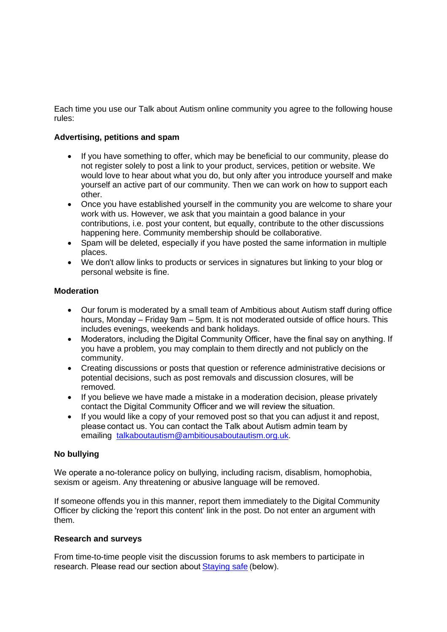Each time you use our Talk about Autism online community you agree to the following house rules:

#### **Advertising, petitions and spam**

- If you have something to offer, which may be beneficial to our community, please do not register solely to post a link to your product, services, petition or website. We would love to hear about what you do, but only after you introduce yourself and make yourself an active part of our community. Then we can work on how to support each other.
- Once you have established yourself in the community you are welcome to share your work with us. However, we ask that you maintain a good balance in your contributions, i.e. post your content, but equally, contribute to the other discussions happening here. Community membership should be collaborative.
- Spam will be deleted, especially if you have posted the same information in multiple places.
- We don't allow links to products or services in signatures but linking to your blog or personal website is fine.

#### **Moderation**

- Our forum is moderated by a small team of Ambitious about Autism staff during office hours, Monday – Friday 9am – 5pm. It is not moderated outside of office hours. This includes evenings, weekends and bank holidays.
- Moderators, including the Digital Community Officer, have the final say on anything. If you have a problem, you may complain to them directly and not publicly on the community.
- Creating discussions or posts that question or reference administrative decisions or potential decisions, such as post removals and discussion closures, will be removed.
- If you believe we have made a mistake in a moderation decision, please privately contact the Digital Community Officer and we will review the situation.
- If you would like a copy of your removed post so that you can adjust it and repost, please contact us. You can contact the Talk about Autism admin team by emailing [talkaboutautism@ambitiousaboutautism.org.uk.](mailto:talkaboutautism@ambitiousaboutautism.org.uk)

# **No bullying**

We operate a no-tolerance policy on bullying, including racism, disablism, homophobia, sexism or ageism. Any threatening or abusive language will be removed.

If someone offends you in this manner, report them immediately to the Digital Community Officer by clicking the 'report this content' link in the post. Do not enter an argument with them.

# **Research and surveys**

From time-to-time people visit the discussion forums to ask members to participate in research. Please read our section abou[t Staying safe](https://live-aaa-forums.pantheonsite.io/talk-to-others/community-guidelines#StaySafe)(below).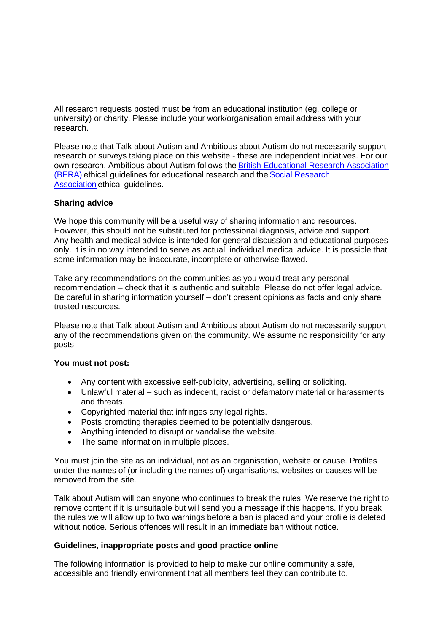All research requests posted must be from an educational institution (eg. college or university) or charity. Please include your work/organisation email address with your research.

Please note that Talk about Autism and Ambitious about Autism do not necessarily support research or surveys taking place on this website - these are independent initiatives. For our own research, Ambitious about Autism follows the[British Educational Research Association](https://www.bera.ac.uk/publication/ethical-guidelines-for-educational-research-2018)  [\(BERA\) e](https://www.bera.ac.uk/publication/ethical-guidelines-for-educational-research-2018)thical guidelines for educational research and the[Social Research](https://the-sra.org.uk/SRA/Ethics/Research-ethics-guidance/SRA/Ethics/Research-Ethics-Guidance.aspx?hkey=5e809828-fb49-42be-a17e-c95d6cc72da1)  [Association](https://the-sra.org.uk/SRA/Ethics/Research-ethics-guidance/SRA/Ethics/Research-Ethics-Guidance.aspx?hkey=5e809828-fb49-42be-a17e-c95d6cc72da1)ethical guidelines.

#### **Sharing advice**

We hope this community will be a useful way of sharing information and resources. However, this should not be substituted for professional diagnosis, advice and support. Any health and medical advice is intended for general discussion and educational purposes only. It is in no way intended to serve as actual, individual medical advice. It is possible that some information may be inaccurate, incomplete or otherwise flawed.

Take any recommendations on the communities as you would treat any personal recommendation – check that it is authentic and suitable. Please do not offer legal advice. Be careful in sharing information yourself – don't present opinions as facts and only share trusted resources.

Please note that Talk about Autism and Ambitious about Autism do not necessarily support any of the recommendations given on the community. We assume no responsibility for any posts.

#### **You must not post:**

- Any content with excessive self-publicity, advertising, selling or soliciting.
- Unlawful material such as indecent, racist or defamatory material or harassments and threats.
- Copyrighted material that infringes any legal rights.
- Posts promoting therapies deemed to be potentially dangerous.
- Anything intended to disrupt or vandalise the website.
- The same information in multiple places.

You must join the site as an individual, not as an organisation, website or cause. Profiles under the names of (or including the names of) organisations, websites or causes will be removed from the site.

Talk about Autism will ban anyone who continues to break the rules. We reserve the right to remove content if it is unsuitable but will send you a message if this happens. If you break the rules we will allow up to two warnings before a ban is placed and your profile is deleted without notice. Serious offences will result in an immediate ban without notice.

#### **Guidelines, inappropriate posts and good practice online**

The following information is provided to help to make our online community a safe, accessible and friendly environment that all members feel they can contribute to.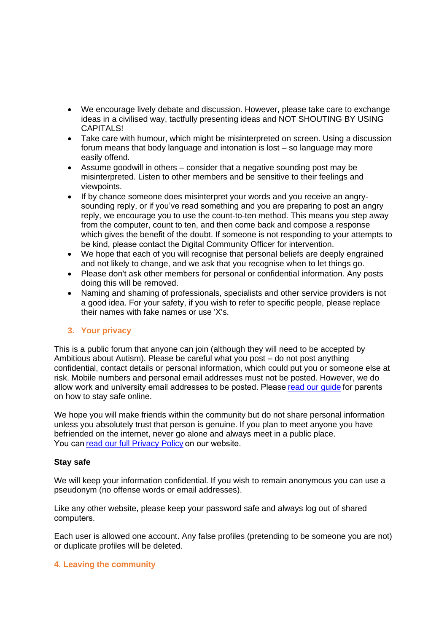- We encourage lively debate and discussion. However, please take care to exchange ideas in a civilised way, tactfully presenting ideas and NOT SHOUTING BY USING CAPITALS!
- Take care with humour, which might be misinterpreted on screen. Using a discussion forum means that body language and intonation is lost – so language may more easily offend.
- Assume goodwill in others consider that a negative sounding post may be misinterpreted. Listen to other members and be sensitive to their feelings and viewpoints.
- If by chance someone does misinterpret your words and you receive an angrysounding reply, or if you've read something and you are preparing to post an angry reply, we encourage you to use the count-to-ten method. This means you step away from the computer, count to ten, and then come back and compose a response which gives the benefit of the doubt. If someone is not responding to your attempts to be kind, please contact the[Digital](mailto:communications@ambitiousaboutautism.org.uk?subject=TAA%20community%20report) Community Officer for intervention.
- We hope that each of you will recognise that personal beliefs are deeply engrained and not likely to change, and we ask that you recognise when to let things go.
- Please don't ask other members for personal or confidential information. Any posts doing this will be removed.
- Naming and shaming of professionals, specialists and other service providers is not a good idea. For your safety, if you wish to refer to specific people, please replace their names with fake names or use 'X's.

# **3. Your privacy**

This is a public forum that anyone can join (although they will need to be accepted by Ambitious about Autism). Please be careful what you post – do not post anything confidential, contact details or personal information, which could put you or someone else at risk. Mobile numbers and personal email addresses must not be posted. However, we do allow work and university email addresses to be posted. Please read our quide for parents on how to stay safe online.

We hope you will make friends within the community but do not share personal information unless you absolutely trust that person is genuine. If you plan to meet anyone you have befriended on the internet, never go alone and always meet in a public place. You can read our full Privacy Policy on our website.

# **Stay safe**

We will keep your information confidential. If you wish to remain anonymous you can use a pseudonym (no offense words or email addresses).

Like any other website, please keep your password safe and always log out of shared computers. 

Each user is allowed one account. Any false profiles (pretending to be someone you are not) or duplicate profiles will be deleted.

# **4. Leaving the community**